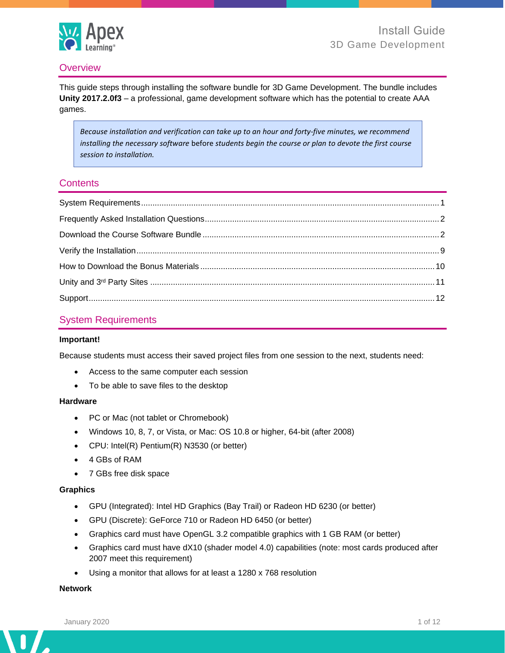

## **Overview**

This guide steps through installing the software bundle for 3D Game Development. The bundle includes **Unity 2017.2.0f3** – a professional, game development software which has the potential to create AAA games.

*Because installation and verification can take up to an hour and forty-five minutes, we recommend installing the necessary software* before *students begin the course or plan to devote the first course session to installation.*

## **Contents**

## <span id="page-0-0"></span>System Requirements

#### **Important!**

Because students must access their saved project files from one session to the next, students need:

- Access to the same computer each session
- To be able to save files to the desktop

#### **Hardware**

- PC or Mac (not tablet or Chromebook)
- Windows 10, 8, 7, or Vista, or Mac: OS 10.8 or higher, 64-bit (after 2008)
- CPU: Intel(R) Pentium(R) N3530 (or better)
- 4 GBs of RAM
- 7 GBs free disk space

#### **Graphics**

- GPU (Integrated): Intel HD Graphics (Bay Trail) or Radeon HD 6230 (or better)
- GPU (Discrete): GeForce 710 or Radeon HD 6450 (or better)
- Graphics card must have OpenGL 3.2 compatible graphics with 1 GB RAM (or better)
- Graphics card must have dX10 (shader model 4.0) capabilities (note: most cards produced after 2007 meet this requirement)
- Using a monitor that allows for at least a 1280 x 768 resolution

### **Network**

Λ

 $\overline{\phantom{a}}$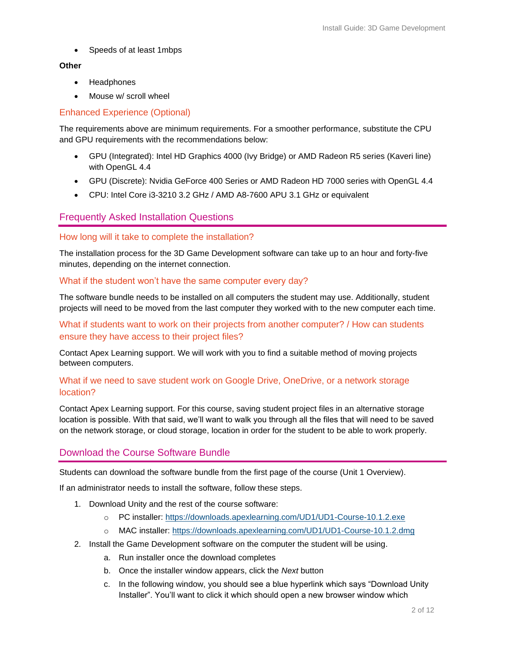• Speeds of at least 1mbps

#### **Other**

- Headphones
- Mouse w/ scroll wheel

## Enhanced Experience (Optional)

The requirements above are minimum requirements. For a smoother performance, substitute the CPU and GPU requirements with the recommendations below:

- GPU (Integrated): Intel HD Graphics 4000 (Ivy Bridge) or AMD Radeon R5 series (Kaveri line) with OpenGL 4.4
- GPU (Discrete): Nvidia GeForce 400 Series or AMD Radeon HD 7000 series with OpenGL 4.4
- CPU: Intel Core i3-3210 3.2 GHz / AMD A8-7600 APU 3.1 GHz or equivalent

### <span id="page-1-0"></span>Frequently Asked Installation Questions

#### How long will it take to complete the installation?

The installation process for the 3D Game Development software can take up to an hour and forty-five minutes, depending on the internet connection.

#### What if the student won't have the same computer every day?

The software bundle needs to be installed on all computers the student may use. Additionally, student projects will need to be moved from the last computer they worked with to the new computer each time.

What if students want to work on their projects from another computer? / How can students ensure they have access to their project files?

Contact Apex Learning support. We will work with you to find a suitable method of moving projects between computers.

## What if we need to save student work on Google Drive, OneDrive, or a network storage location?

Contact Apex Learning support. For this course, saving student project files in an alternative storage location is possible. With that said, we'll want to walk you through all the files that will need to be saved on the network storage, or cloud storage, location in order for the student to be able to work properly.

### <span id="page-1-1"></span>Download the Course Software Bundle

Students can download the software bundle from the first page of the course (Unit 1 Overview).

If an administrator needs to install the software, follow these steps.

- 1. Download Unity and the rest of the course software:
	- o PC installer: <https://downloads.apexlearning.com/UD1/UD1-Course-10.1.2.exe>
	- o MAC installer:<https://downloads.apexlearning.com/UD1/UD1-Course-10.1.2.dmg>
- 2. Install the Game Development software on the computer the student will be using.
	- a. Run installer once the download completes
	- b. Once the installer window appears, click the *Next* button
	- c. In the following window, you should see a blue hyperlink which says "Download Unity Installer". You'll want to click it which should open a new browser window which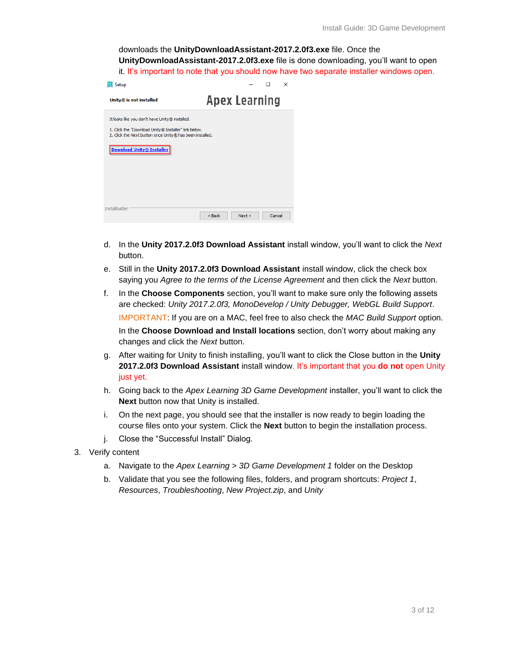downloads the **UnityDownloadAssistant-2017.2.0f3.exe** file. Once the **UnityDownloadAssistant-2017.2.0f3.exe** file is done downloading, you'll want to open it. It's important to note that you should now have two separate installer windows open.

| Setup                                                                                                                                                                                           | ×                          |
|-------------------------------------------------------------------------------------------------------------------------------------------------------------------------------------------------|----------------------------|
| Unity® is not installed                                                                                                                                                                         | <b>Apex Learning</b>       |
| It looks like you don't have Unity® installed.<br>1. Click the "Download Unity® Installer" link below.<br>2. Click the Next button once Unity® has been installed.<br>Download Unity® Installer |                            |
| InstallBuilder                                                                                                                                                                                  | < Back<br>Cancel<br>Next > |

- d. In the **Unity 2017.2.0f3 Download Assistant** install window, you'll want to click the *Next*  button.
- e. Still in the **Unity 2017.2.0f3 Download Assistant** install window, click the check box saying you *Agree to the terms of the License Agreement* and then click the *Next* button.
- f. In the **Choose Components** section, you'll want to make sure only the following assets are checked: *Unity 2017.2.0f3, MonoDevelop / Unity Debugger, WebGL Build Support*. IMPORTANT: If you are on a MAC, feel free to also check the *MAC Build Support* option. In the **Choose Download and Install locations** section, don't worry about making any changes and click the *Next* button.
- g. After waiting for Unity to finish installing, you'll want to click the Close button in the **Unity 2017.2.0f3 Download Assistant** install window. It's important that you **do not** open Unity just yet.
- h. Going back to the *Apex Learning 3D Game Development* installer, you'll want to click the **Next** button now that Unity is installed.
- i. On the next page, you should see that the installer is now ready to begin loading the course files onto your system. Click the **Next** button to begin the installation process.
- j. Close the "Successful Install" Dialog.
- 3. Verify content
	- a. Navigate to the *Apex Learning > 3D Game Development 1* folder on the Desktop
	- b. Validate that you see the following files, folders, and program shortcuts: *Project 1*, *Resources*, *Troubleshooting*, *New Project.zip*, and *Unity*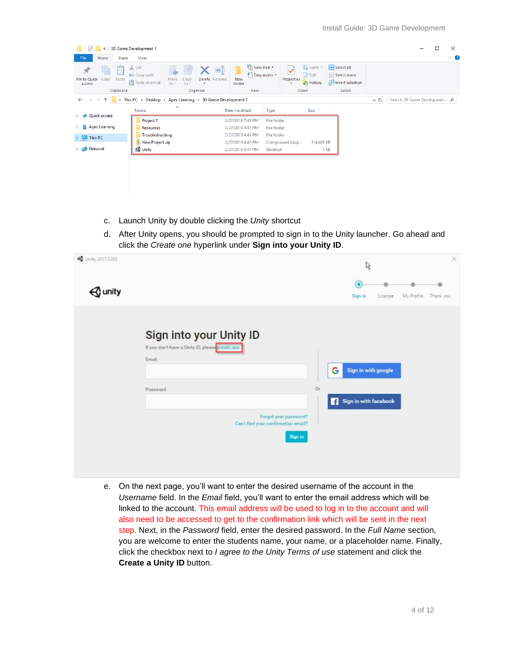| $\overline{\phantom{a}}$                                  | 3D Game Development 1                                                                                                                              |                                                          |                                                                     |                                                               | $\times$                                |  |
|-----------------------------------------------------------|----------------------------------------------------------------------------------------------------------------------------------------------------|----------------------------------------------------------|---------------------------------------------------------------------|---------------------------------------------------------------|-----------------------------------------|--|
| File<br>Home<br>Share                                     | View                                                                                                                                               |                                                          |                                                                     |                                                               | $\hat{\phantom{a}}$                     |  |
| F<br>Pin to Quick<br>Copy<br>Paste<br>access<br>Clipboard | $\chi$ Cut<br>$\Box$<br>W <sub>"</sub> Copy path<br>Delete Rename<br>Copy<br>Move<br>F Paste shortcut<br>to<br>$to -$<br>$\pmb{\cdot}$<br>Organize | └□ New item ▼<br>F Easy access *<br>New<br>folder<br>New | Dopen *<br>$\triangleright$ Edit<br>Properties<br>A History<br>Open | Select all<br><b>Select none</b><br><b>Relation</b><br>Select |                                         |  |
|                                                           | > This PC > Desktop > Apex Learning > 3D Game Development 1                                                                                        |                                                          |                                                                     |                                                               | $\sim$ 0<br>Search 3D Game Developmen P |  |
| <b>Quick access</b>                                       | $\wedge$<br>Name                                                                                                                                   | Date modified<br>Type                                    | Size                                                                |                                                               |                                         |  |
|                                                           | Project 1                                                                                                                                          | 3/27/2019 7:40 PM<br><b>File folder</b>                  |                                                                     |                                                               |                                         |  |
| <b>Apex Learning</b>                                      | Resources                                                                                                                                          | 3/27/2019 4:47 PM<br>File folder                         |                                                                     |                                                               |                                         |  |
| This PC                                                   | Troubleshooting                                                                                                                                    | 3/27/2019 4:46 PM<br>File folder                         |                                                                     |                                                               |                                         |  |
|                                                           | New Project.zip                                                                                                                                    | 3/27/2019 4:47 PM                                        | 114,406 KB<br>Compressed (zipp                                      |                                                               |                                         |  |
| Network                                                   | <b>J</b> Unity                                                                                                                                     | 3/27/2019 4:47 PM<br>Shortcut                            |                                                                     | 1 KB                                                          |                                         |  |
|                                                           |                                                                                                                                                    |                                                          |                                                                     |                                                               |                                         |  |
|                                                           |                                                                                                                                                    |                                                          |                                                                     |                                                               |                                         |  |
|                                                           |                                                                                                                                                    |                                                          |                                                                     |                                                               |                                         |  |
|                                                           |                                                                                                                                                    |                                                          |                                                                     |                                                               |                                         |  |
|                                                           |                                                                                                                                                    |                                                          |                                                                     |                                                               |                                         |  |

- c. Launch Unity by double clicking the *Unity* shortcut
- d. After Unity opens, you should be prompted to sign in to the Unity launcher. Go ahead and click the *Create one* hyperlink under **Sign into your Unity ID**.

| <b>4</b> Unity 2017-2.0f3 |                                                  |    |   | $\mathbb{Z}$          |         |            | X.        |  |
|---------------------------|--------------------------------------------------|----|---|-----------------------|---------|------------|-----------|--|
|                           |                                                  |    |   | ◉                     |         |            |           |  |
| $\mathcal Q$ unity        |                                                  |    |   | Sign in               | License | My Profile | Thank you |  |
|                           |                                                  |    |   |                       |         |            |           |  |
|                           | Sign into your Unity ID                          |    |   |                       |         |            |           |  |
|                           | If you don't have a Unity ID, please create one. |    |   |                       |         |            |           |  |
|                           | Email                                            |    |   |                       |         |            |           |  |
|                           |                                                  |    | G | Sign in with google   |         |            |           |  |
|                           | Password                                         | Or |   |                       |         |            |           |  |
|                           |                                                  |    |   | Sign in with facebook |         |            |           |  |
|                           | Forgot your password?                            |    |   |                       |         |            |           |  |
|                           | Can't find your confirmation email?              |    |   |                       |         |            |           |  |
|                           | Sign in                                          |    |   |                       |         |            |           |  |
|                           |                                                  |    |   |                       |         |            |           |  |
|                           |                                                  |    |   |                       |         |            |           |  |
|                           |                                                  |    |   |                       |         |            |           |  |

e. On the next page, you'll want to enter the desired username of the account in the *Username* field. In the *Email* field, you'll want to enter the email address which will be linked to the account. This email address will be used to log in to the account and will also need to be accessed to get to the confirmation link which will be sent in the next step. Next, in the *Password* field, enter the desired password. In the *Full Name* section, you are welcome to enter the students name, your name, or a placeholder name. Finally, click the checkbox next to *I agree to the Unity Terms of use* statement and click the **Create a Unity ID** button.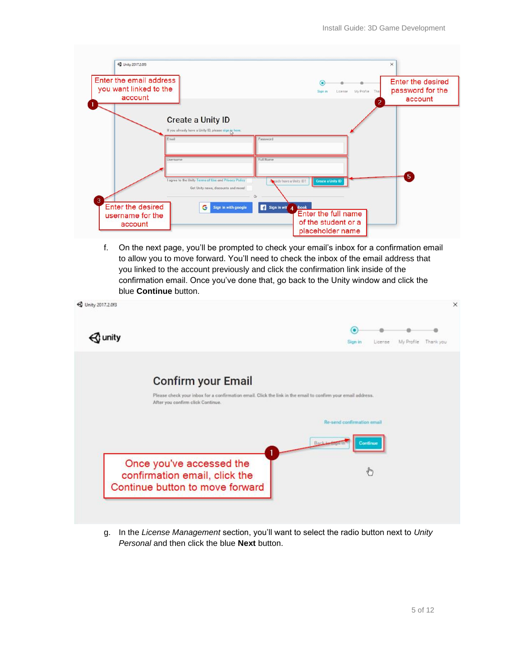| Enter the email address<br>you want linked to the<br>account |                                                                                            | О<br>Sign in<br>License                                                                        | My Profile<br>Tha<br>$\overline{2}$ | Enter the desired<br>password for the<br>account |
|--------------------------------------------------------------|--------------------------------------------------------------------------------------------|------------------------------------------------------------------------------------------------|-------------------------------------|--------------------------------------------------|
|                                                              | <b>Create a Unity ID</b><br>If you already have a Unity ID, please sign jo here.<br>Ernail | Password                                                                                       |                                     |                                                  |
|                                                              | Username<br>I agree to the Unity Terms of Use and Privacy Policy                           | Full Name<br>eady have a Unity ID?<br><b>Create a Unity ID</b>                                 |                                     | 5 <sub>5</sub>                                   |
| 3<br>Enter the desired<br>username for the<br>account        | Get Unity news, discounts and more!<br>G<br>Sign in with google                            | Sign in wit 4<br><b>book</b><br>Enter the full name<br>of the student or a<br>placeholder name |                                     |                                                  |

f. On the next page, you'll be prompted to check your email's inbox for a confirmation email to allow you to move forward. You'll need to check the inbox of the email address that you linked to the account previously and click the confirmation link inside of the confirmation email. Once you've done that, go back to the Unity window and click the blue **Continue** button.

| <b>4</b> Unity 2017.2.013                                                                                                                                               |                            |         |            |           | $\times$ |
|-------------------------------------------------------------------------------------------------------------------------------------------------------------------------|----------------------------|---------|------------|-----------|----------|
|                                                                                                                                                                         | $\bullet$                  |         |            |           |          |
| unity                                                                                                                                                                   | Sign in                    | License | My Profile | Thank you |          |
| Confirm your Email<br>Please check your inbox for a confirmation email. Click the link in the email to confirm your email address.<br>After you confirm click Continue. |                            |         |            |           |          |
|                                                                                                                                                                         | Re-send confirmation email |         |            |           |          |
|                                                                                                                                                                         | Continue                   |         |            |           |          |
| Once you've accessed the<br>confirmation email, click the<br>Continue button to move forward                                                                            |                            | $4\mu$  |            |           |          |
|                                                                                                                                                                         |                            |         |            |           |          |

g. In the *License Management* section, you'll want to select the radio button next to *Unity Personal* and then click the blue **Next** button.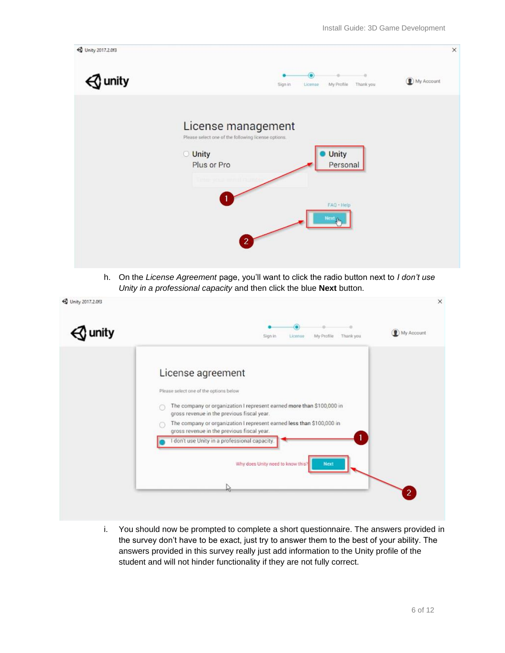

h. On the *License Agreement* page, you'll want to click the radio button next to *I don't use Unity in a professional capacity* and then click the blue **Next** button.



i. You should now be prompted to complete a short questionnaire. The answers provided in the survey don't have to be exact, just try to answer them to the best of your ability. The answers provided in this survey really just add information to the Unity profile of the student and will not hinder functionality if they are not fully correct.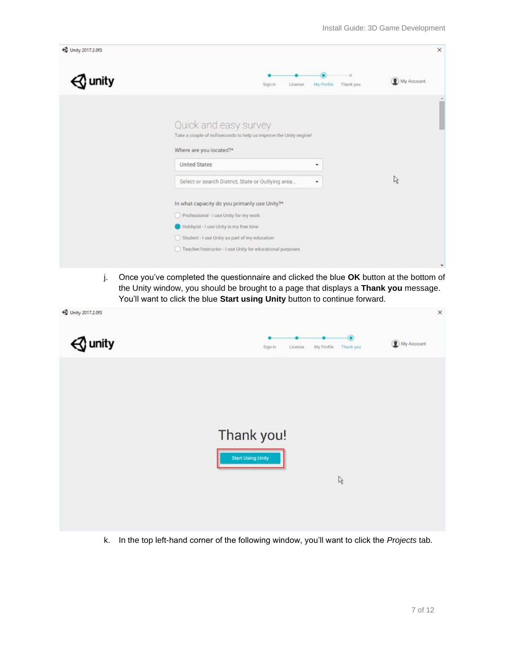

j. Once you've completed the questionnaire and clicked the blue **OK** button at the bottom of the Unity window, you should be brought to a page that displays a **Thank you** message. You'll want to click the blue **Start using Unity** button to continue forward.

| 4 Unity 2017.2.013 |                                                             | $\times$   |
|--------------------|-------------------------------------------------------------|------------|
| ) unity            | $\bullet$<br>My Profile<br>Thank you<br>Sign in<br>License. | My Account |
|                    |                                                             |            |
|                    |                                                             |            |
|                    | Thank you!                                                  |            |
|                    | <b>Start Using Unity</b><br>$\mathbb{S}$                    |            |
|                    |                                                             |            |
|                    |                                                             |            |

k. In the top left-hand corner of the following window, you'll want to click the *Projects* tab.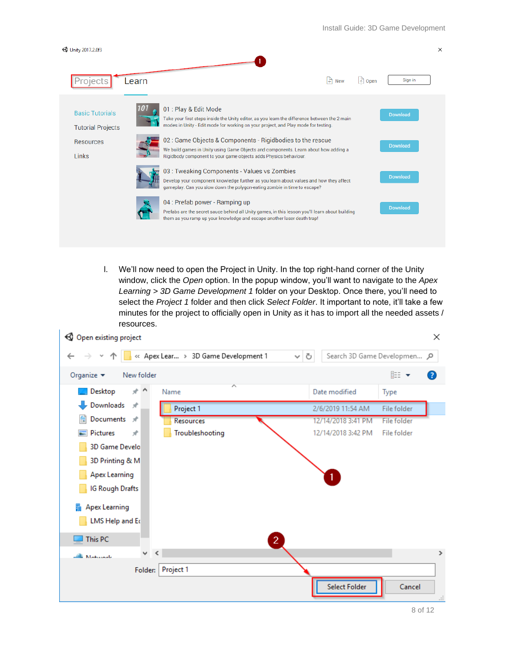

l. We'll now need to open the Project in Unity. In the top right-hand corner of the Unity window, click the *Open* option. In the popup window, you'll want to navigate to the *Apex Learning > 3D Game Development 1* folder on your Desktop. Once there, you'll need to select the *Project 1* folder and then click *Select Folder*. It important to note, it'll take a few minutes for the project to officially open in Unity as it has to import all the needed assets / resources.

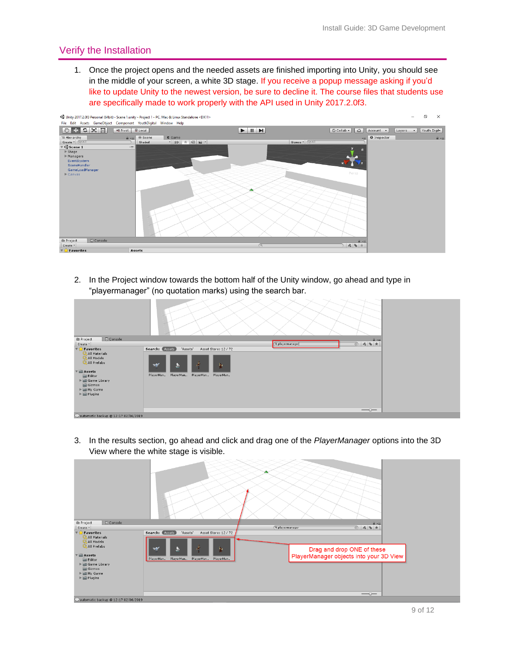## <span id="page-8-0"></span>Verify the Installation

1. Once the project opens and the needed assets are finished importing into Unity, you should see in the middle of your screen, a white 3D stage. If you receive a popup message asking if you'd like to update Unity to the newest version, be sure to decline it. The course files that students use are specifically made to work properly with the API used in Unity 2017.2.0f3.



2. In the Project window towards the bottom half of the Unity window, go ahead and type in "playermanager" (no quotation marks) using the search bar.

| Console<br><b>E</b> Project                                                                                                                                                                                                  |                                                                                                                                                      |                 | $\hat{\mathbf{n}}$ v=.          |  |
|------------------------------------------------------------------------------------------------------------------------------------------------------------------------------------------------------------------------------|------------------------------------------------------------------------------------------------------------------------------------------------------|-----------------|---------------------------------|--|
| Create *                                                                                                                                                                                                                     |                                                                                                                                                      | Q playermanager |                                 |  |
| $\nabla \sum$ Favorites<br>All Materials<br>All Models<br>All Prefabs<br>$\nabla \equiv$ Assets<br>Editor<br>▶ Same Library<br>Gizmos<br>$\triangleright \blacksquare$ My Game<br>$\blacktriangleright \blacksquare$ Plugins | Search: <b>Assets</b><br>'Assets'<br>Asset Store: 12 / 72<br>$\tilde{\mathcal{S}}_j$<br>多<br>ず<br>奢<br>PlayerMan<br>PlayerMan PlayerMan<br>PlayerMan |                 | $\qquad \qquad \longrightarrow$ |  |
| 12:17 02/06/2019 @ 12:17 02/06/2019                                                                                                                                                                                          |                                                                                                                                                      |                 |                                 |  |

3. In the results section, go ahead and click and drag one of the *PlayerManager* options into the 3D View where the white stage is visible.

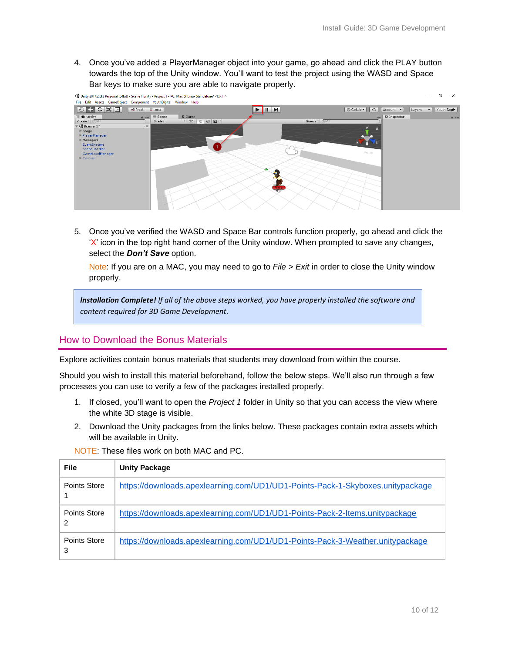4. Once you've added a PlayerManager object into your game, go ahead and click the PLAY button towards the top of the Unity window. You'll want to test the project using the WASD and Space Bar keys to make sure you are able to navigate properly.



5. Once you've verified the WASD and Space Bar controls function properly, go ahead and click the  $'X'$  icon in the top right hand corner of the Unity window. When prompted to save any changes, select the *Don't Save* option.

Note: If you are on a MAC, you may need to go to *File > Exit* in order to close the Unity window properly.

*Installation Complete! If all of the above steps worked, you have properly installed the software and content required for 3D Game Development.*

## <span id="page-9-0"></span>How to Download the Bonus Materials

Explore activities contain bonus materials that students may download from within the course.

Should you wish to install this material beforehand, follow the below steps. We'll also run through a few processes you can use to verify a few of the packages installed properly.

- 1. If closed, you'll want to open the *Project 1* folder in Unity so that you can access the view where the white 3D stage is visible.
- 2. Download the Unity packages from the links below. These packages contain extra assets which will be available in Unity.

| File              | <b>Unity Package</b>                                                           |
|-------------------|--------------------------------------------------------------------------------|
| Points Store      | https://downloads.apexlearning.com/UD1/UD1-Points-Pack-1-Skyboxes.unitypackage |
| Points Store<br>2 | https://downloads.apexlearning.com/UD1/UD1-Points-Pack-2-Items.unitypackage    |
| Points Store<br>3 | https://downloads.apexlearning.com/UD1/UD1-Points-Pack-3-Weather.unitypackage  |

NOTE: These files work on both MAC and PC.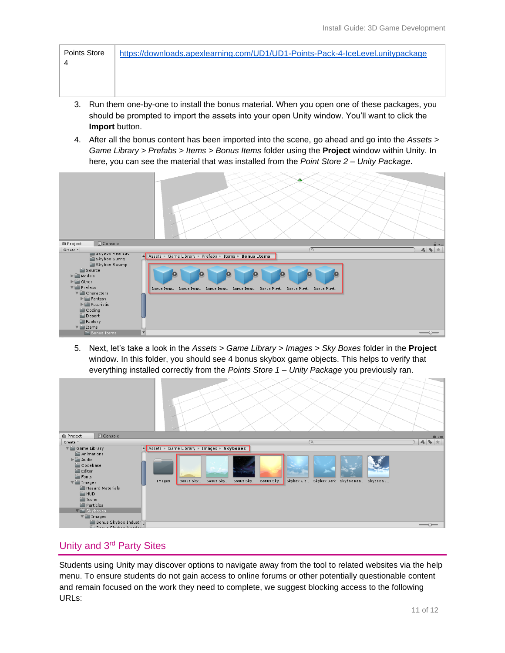- 3. Run them one-by-one to install the bonus material. When you open one of these packages, you should be prompted to import the assets into your open Unity window. You'll want to click the **Import** button.
- 4. After all the bonus content has been imported into the scene, go ahead and go into the *Assets > Game Library > Prefabs > Items > Bonus Items* folder using the **Project** window within Unity. In here, you can see the material that was installed from the *Point Store 2 – Unity Package*.

| Console<br><b>E</b> Project                                                                                                                                                                                                                                                                               | $\hat{=}$ $\overline{=}$                                                                                                                                                                    |
|-----------------------------------------------------------------------------------------------------------------------------------------------------------------------------------------------------------------------------------------------------------------------------------------------------------|---------------------------------------------------------------------------------------------------------------------------------------------------------------------------------------------|
| Create *                                                                                                                                                                                                                                                                                                  | $\begin{array}{c c c c c} A & \Phi & \star \end{array}$<br>$\sqrt{Q}$                                                                                                                       |
| <b>SKYDOX Realistic</b><br>Skybox Sunny                                                                                                                                                                                                                                                                   | Assets > Game Library > Prefabs > Items > Bonus Items                                                                                                                                       |
| Skybox Swamp                                                                                                                                                                                                                                                                                              |                                                                                                                                                                                             |
| Source<br>$\triangleright$ $\blacksquare$ Models<br>$\blacktriangleright \blacksquare$ Other<br>$\nabla$ Prefabs<br>$\nabla$ Characters<br>$\blacktriangleright$ $\blacksquare$ Fantasy<br>$\triangleright$ $\blacksquare$ Futuristic<br>Coding<br><b>Desert</b><br>Factory<br>$\blacktriangledown$ Items | $\bullet$<br>$\boldsymbol{\Theta}$<br>$\mathbf{c}$<br>$\bullet$<br>$\bullet$<br>$\bullet$<br>$\mathbf 0$<br>Bonus Item Bonus Item Bonus Item Bonus Item Bonus Platf Bonus Platf Bonus Platf |
| $=$ Bonus Items                                                                                                                                                                                                                                                                                           | $\overline{\mathbf{v}}$<br>$\overline{\phantom{m}}$                                                                                                                                         |

5. Next, let's take a look in the *Assets > Game Library > Images > Sky Boxes* folder in the **Project**  window. In this folder, you should see 4 bonus skybox game objects. This helps to verify that everything installed correctly from the *Points Store 1 – Unity Package* you previously ran.

| E Console<br><b>E</b> Project            |        |                                                                                                    |                                                                 |            |  | <b>a</b> ∗≡                                                       |
|------------------------------------------|--------|----------------------------------------------------------------------------------------------------|-----------------------------------------------------------------|------------|--|-------------------------------------------------------------------|
| Create *                                 |        |                                                                                                    |                                                                 | $\sqrt{Q}$ |  | $\mathcal{L}_\mathbf{B}$<br>$\mathbf{Q}_\mathbf{B}$ $\mathcal{H}$ |
| Game Library                             |        | $\triangle$ Assets $\triangleright$ Game Library $\triangleright$ Images $\triangleright$ Skyboxes |                                                                 |            |  |                                                                   |
| Animations                               |        |                                                                                                    |                                                                 |            |  |                                                                   |
| $\blacktriangleright \blacksquare$ Audio |        |                                                                                                    |                                                                 |            |  |                                                                   |
| Codebase                                 |        |                                                                                                    |                                                                 |            |  |                                                                   |
| Editor                                   |        |                                                                                                    |                                                                 |            |  |                                                                   |
| <b>Fonts</b>                             |        |                                                                                                    |                                                                 |            |  |                                                                   |
| $\nabla$ Images                          | Images | Bonus Sky<br>Bonus Sky                                                                             | Bonus Sky Bonus Sky Skybox Clo Skybox Dark Skybox Rea Skybox Su |            |  |                                                                   |
| Hazard Materials                         |        |                                                                                                    |                                                                 |            |  |                                                                   |
| <b>E</b> HUD                             |        |                                                                                                    |                                                                 |            |  |                                                                   |
| <b>E</b> Icons                           |        |                                                                                                    |                                                                 |            |  |                                                                   |
| Particles                                |        |                                                                                                    |                                                                 |            |  |                                                                   |
| $\sqrt{2}$ Skyboxes                      |        |                                                                                                    |                                                                 |            |  |                                                                   |
| $\blacktriangledown$ Images              |        |                                                                                                    |                                                                 |            |  |                                                                   |
| Bonus Skybox Industr                     |        |                                                                                                    |                                                                 |            |  | $\overline{\phantom{a}}$                                          |
| Concert Charles Marshall                 |        |                                                                                                    |                                                                 |            |  |                                                                   |

# <span id="page-10-0"></span>Unity and 3rd Party Sites

Students using Unity may discover options to navigate away from the tool to related websites via the help menu. To ensure students do not gain access to online forums or other potentially questionable content and remain focused on the work they need to complete, we suggest blocking access to the following URLs: